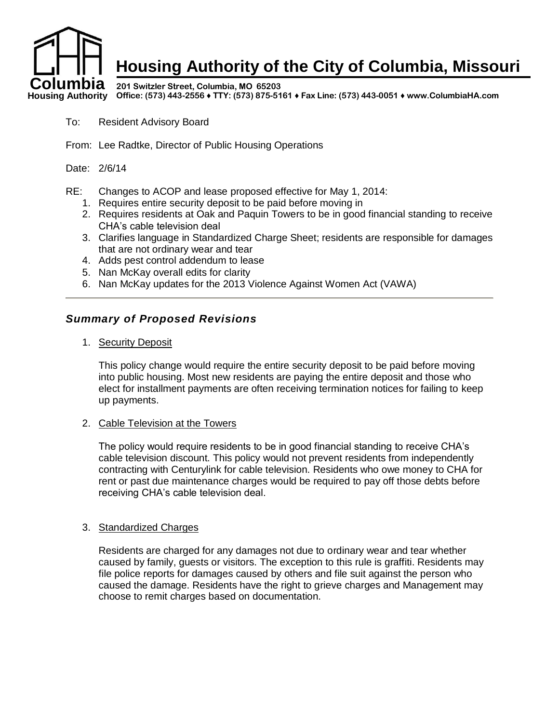

- To: Resident Advisory Board
- From: Lee Radtke, Director of Public Housing Operations

Date: 2/6/14

RE: Changes to ACOP and lease proposed effective for May 1, 2014:

- 1. Requires entire security deposit to be paid before moving in
- 2. Requires residents at Oak and Paquin Towers to be in good financial standing to receive CHA's cable television deal
- 3. Clarifies language in Standardized Charge Sheet; residents are responsible for damages that are not ordinary wear and tear
- 4. Adds pest control addendum to lease
- 5. Nan McKay overall edits for clarity
- 6. Nan McKay updates for the 2013 Violence Against Women Act (VAWA)

### *Summary of Proposed Revisions*

1. Security Deposit

This policy change would require the entire security deposit to be paid before moving into public housing. Most new residents are paying the entire deposit and those who elect for installment payments are often receiving termination notices for failing to keep up payments.

2. Cable Television at the Towers

The policy would require residents to be in good financial standing to receive CHA's cable television discount. This policy would not prevent residents from independently contracting with Centurylink for cable television. Residents who owe money to CHA for rent or past due maintenance charges would be required to pay off those debts before receiving CHA's cable television deal.

### 3. Standardized Charges

Residents are charged for any damages not due to ordinary wear and tear whether caused by family, guests or visitors. The exception to this rule is graffiti. Residents may file police reports for damages caused by others and file suit against the person who caused the damage. Residents have the right to grieve charges and Management may choose to remit charges based on documentation.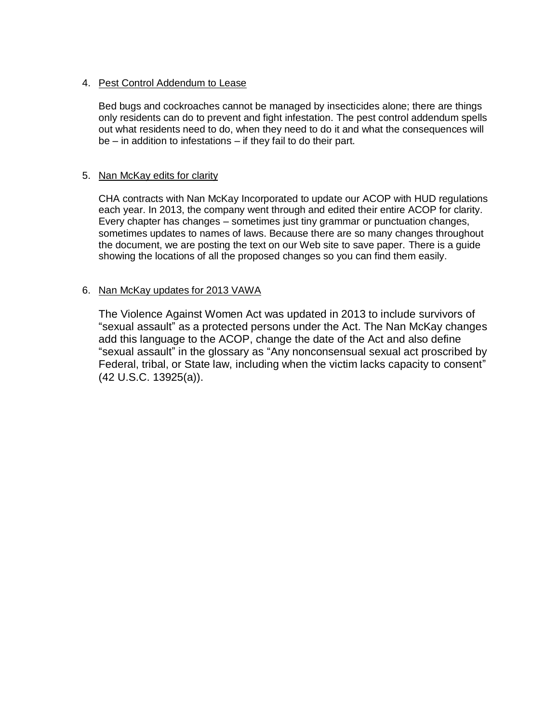### 4. Pest Control Addendum to Lease

Bed bugs and cockroaches cannot be managed by insecticides alone; there are things only residents can do to prevent and fight infestation. The pest control addendum spells out what residents need to do, when they need to do it and what the consequences will be – in addition to infestations – if they fail to do their part.

### 5. Nan McKay edits for clarity

CHA contracts with Nan McKay Incorporated to update our ACOP with HUD regulations each year. In 2013, the company went through and edited their entire ACOP for clarity. Every chapter has changes – sometimes just tiny grammar or punctuation changes, sometimes updates to names of laws. Because there are so many changes throughout the document, we are posting the text on our Web site to save paper. There is a guide showing the locations of all the proposed changes so you can find them easily.

### 6. Nan McKay updates for 2013 VAWA

The Violence Against Women Act was updated in 2013 to include survivors of "sexual assault" as a protected persons under the Act. The Nan McKay changes add this language to the ACOP, change the date of the Act and also define "sexual assault" in the glossary as "Any nonconsensual sexual act proscribed by Federal, tribal, or State law, including when the victim lacks capacity to consent" (42 U.S.C. 13925(a)).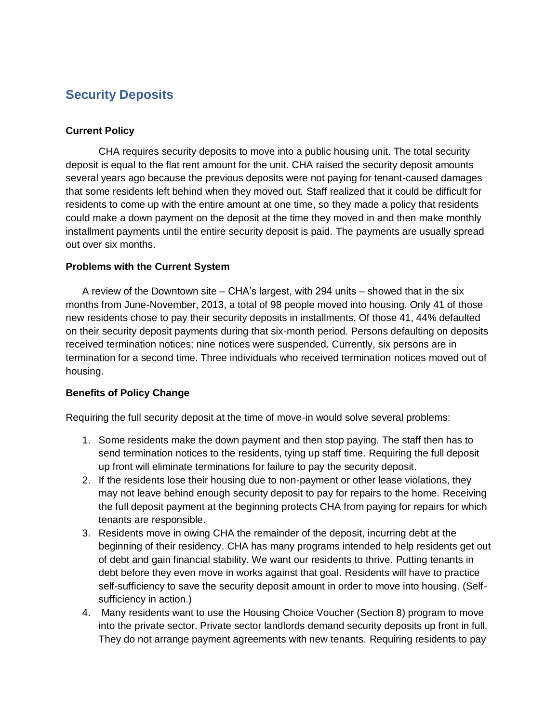## **Security Deposits**

### **Current Policy**

CHA requires security deposits to move into a public housing unit. The total security deposit is equal to the flat rent amount for the unit. CHA raised the security deposit amounts several years ago because the previous deposits were not paying for tenant-caused damages that some residents left behind when they moved out. Staff realized that it could be difficult for residents to come up with the entire amount at one time, so they made a policy that residents could make a down payment on the deposit at the time they moved in and then make monthly installment payments until the entire security deposit is paid. The payments are usually spread out over six months.

### **Problems with the Current System**

A review of the Downtown site – CHA's largest, with 294 units – showed that in the six months from June-November, 2013, a total of 98 people moved into housing. Only 41 of those new residents chose to pay their security deposits in installments. Of those 41, 44% defaulted on their security deposit payments during that six-month period. Persons defaulting on deposits received termination notices; nine notices were suspended. Currently, six persons are in termination for a second time. Three individuals who received termination notices moved out of housing.

### **Benefits of Policy Change**

Requiring the full security deposit at the time of move-in would solve several problems:

- 1. Some residents make the down payment and then stop paying. The staff then has to send termination notices to the residents, tying up staff time. Requiring the full deposit up front will eliminate terminations for failure to pay the security deposit.
- 2. If the residents lose their housing due to non-payment or other lease violations, they may not leave behind enough security deposit to pay for repairs to the home. Receiving the full deposit payment at the beginning protects CHA from paying for repairs for which tenants are responsible.
- 3. Residents move in owing CHA the remainder of the deposit, incurring debt at the beginning of their residency. CHA has many programs intended to help residents get out of debt and gain financial stability. We want our residents to thrive. Putting tenants in debt before they even move in works against that goal. Residents will have to practice self-sufficiency to save the security deposit amount in order to move into housing. (Selfsufficiency in action.)
- 4. Many residents want to use the Housing Choice Voucher (Section 8) program to move into the private sector. Private sector landlords demand security deposits up front in full. They do not arrange payment agreements with new tenants. Requiring residents to pay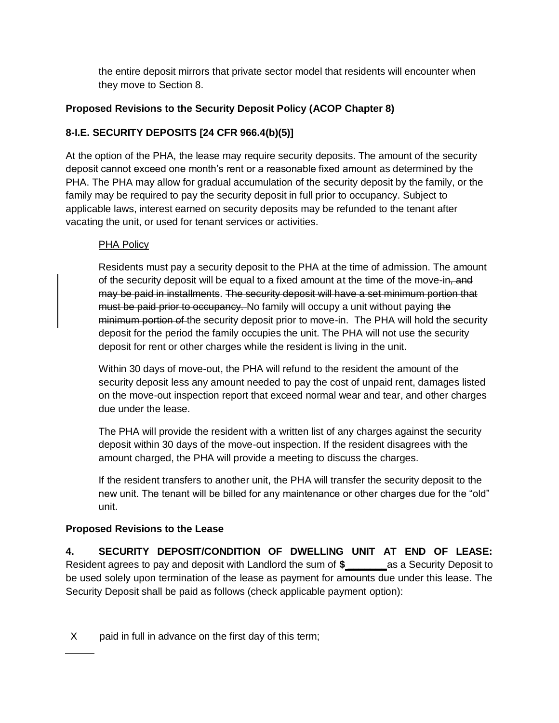the entire deposit mirrors that private sector model that residents will encounter when they move to Section 8.

### **Proposed Revisions to the Security Deposit Policy (ACOP Chapter 8)**

### **8-I.E. SECURITY DEPOSITS [24 CFR 966.4(b)(5)]**

At the option of the PHA, the lease may require security deposits. The amount of the security deposit cannot exceed one month's rent or a reasonable fixed amount as determined by the PHA. The PHA may allow for gradual accumulation of the security deposit by the family, or the family may be required to pay the security deposit in full prior to occupancy. Subject to applicable laws, interest earned on security deposits may be refunded to the tenant after vacating the unit, or used for tenant services or activities.

### PHA Policy

Residents must pay a security deposit to the PHA at the time of admission. The amount of the security deposit will be equal to a fixed amount at the time of the move-in, and may be paid in installments. The security deposit will have a set minimum portion that must be paid prior to occupancy. No family will occupy a unit without paying the minimum portion of the security deposit prior to move-in. The PHA will hold the security deposit for the period the family occupies the unit. The PHA will not use the security deposit for rent or other charges while the resident is living in the unit.

Within 30 days of move-out, the PHA will refund to the resident the amount of the security deposit less any amount needed to pay the cost of unpaid rent, damages listed on the move-out inspection report that exceed normal wear and tear, and other charges due under the lease.

The PHA will provide the resident with a written list of any charges against the security deposit within 30 days of the move-out inspection. If the resident disagrees with the amount charged, the PHA will provide a meeting to discuss the charges.

If the resident transfers to another unit, the PHA will transfer the security deposit to the new unit. The tenant will be billed for any maintenance or other charges due for the "old" unit.

### **Proposed Revisions to the Lease**

**4. SECURITY DEPOSIT/CONDITION OF DWELLING UNIT AT END OF LEASE:**  Resident agrees to pay and deposit with Landlord the sum of **\$ \_\_\_\_\_\_\_**as a Security Deposit to be used solely upon termination of the lease as payment for amounts due under this lease. The Security Deposit shall be paid as follows (check applicable payment option):

X paid in full in advance on the first day of this term;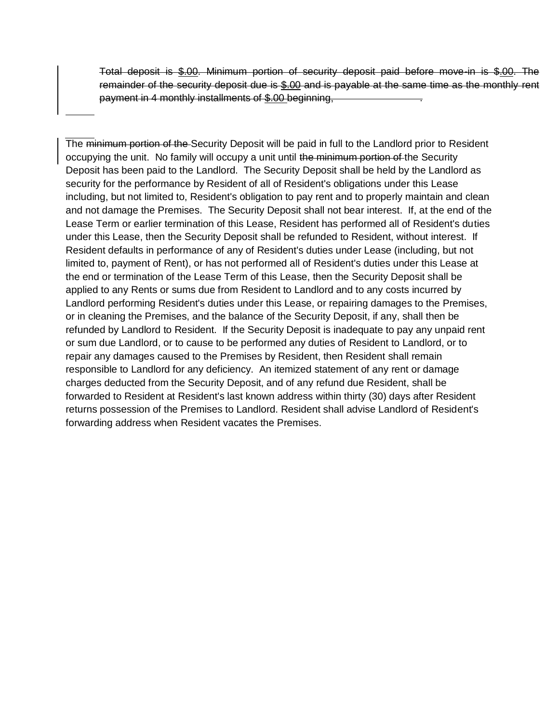Total deposit is \$.00. Minimum portion of security deposit paid before move-in is \$.00. The remainder of the security deposit due is \$.00 and is payable at the same time as the monthly rent payment in 4 monthly installments of \$.00 beginning,

The minimum portion of the Security Deposit will be paid in full to the Landlord prior to Resident occupying the unit. No family will occupy a unit until the minimum portion of the Security Deposit has been paid to the Landlord. The Security Deposit shall be held by the Landlord as security for the performance by Resident of all of Resident's obligations under this Lease including, but not limited to, Resident's obligation to pay rent and to properly maintain and clean and not damage the Premises. The Security Deposit shall not bear interest. If, at the end of the Lease Term or earlier termination of this Lease, Resident has performed all of Resident's duties under this Lease, then the Security Deposit shall be refunded to Resident, without interest. If Resident defaults in performance of any of Resident's duties under Lease (including, but not limited to, payment of Rent), or has not performed all of Resident's duties under this Lease at the end or termination of the Lease Term of this Lease, then the Security Deposit shall be applied to any Rents or sums due from Resident to Landlord and to any costs incurred by Landlord performing Resident's duties under this Lease, or repairing damages to the Premises, or in cleaning the Premises, and the balance of the Security Deposit, if any, shall then be refunded by Landlord to Resident. If the Security Deposit is inadequate to pay any unpaid rent or sum due Landlord, or to cause to be performed any duties of Resident to Landlord, or to repair any damages caused to the Premises by Resident, then Resident shall remain responsible to Landlord for any deficiency. An itemized statement of any rent or damage charges deducted from the Security Deposit, and of any refund due Resident, shall be forwarded to Resident at Resident's last known address within thirty (30) days after Resident returns possession of the Premises to Landlord. Resident shall advise Landlord of Resident's forwarding address when Resident vacates the Premises.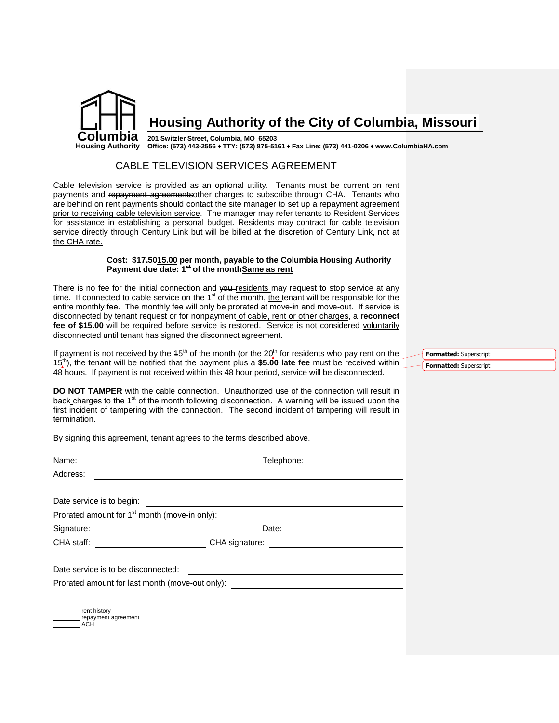

### **Housing Authority of the City of Columbia, Missouri**

#### **201 Switzler Street, Columbia, MO 65203**

**Office: (573) 443-2556 ♦ TTY: (573) 875-5161 ♦ Fax Line: (573) 441-0206 ♦ www.ColumbiaHA.com**

### CABLE TELEVISION SERVICES AGREEMENT

Cable television service is provided as an optional utility. Tenants must be current on rent payments and repayment agreementsother charges to subscribe through CHA. Tenants who are behind on rent-payments should contact the site manager to set up a repayment agreement prior to receiving cable television service. The manager may refer tenants to Resident Services for assistance in establishing a personal budget. Residents may contract for cable television service directly through Century Link but will be billed at the discretion of Century Link, not at the CHA rate.

### **Cost: \$17.5015.00 per month, payable to the Columbia Housing Authority Payment due date: 1 st of the monthSame as rent**

There is no fee for the initial connection and you-residents may request to stop service at any time. If connected to cable service on the  $1<sup>st</sup>$  of the month, the tenant will be responsible for the entire monthly fee. The monthly fee will only be prorated at move-in and move-out. If service is disconnected by tenant request or for nonpayment of cable, rent or other charges, a **reconnect fee of \$15.00** will be required before service is restored. Service is not considered voluntarily disconnected until tenant has signed the disconnect agreement.

If payment is not received by the  $45<sup>th</sup>$  of the month (or the  $20<sup>th</sup>$  for residents who pay rent on the 15th), the tenant will be notified that the payment plus a **\$5.00 late fee** must be received within 48 hours. If payment is not received within this 48 hour period, service will be disconnected.

**DO NOT TAMPER** with the cable connection. Unauthorized use of the connection will result in back charges to the 1<sup>st</sup> of the month following disconnection. A warning will be issued upon the first incident of tampering with the connection. The second incident of tampering will result in termination.

By signing this agreement, tenant agrees to the terms described above.

| Name:<br><u> 1980 - Johann Barn, amerikan personal (h. 1980).</u>                                                              | Telephone:                                                                                   | <u> 1980 - Jan Samuel Barbara, martin a</u> |
|--------------------------------------------------------------------------------------------------------------------------------|----------------------------------------------------------------------------------------------|---------------------------------------------|
| Address:                                                                                                                       |                                                                                              |                                             |
|                                                                                                                                |                                                                                              |                                             |
| Date service is to begin:                                                                                                      |                                                                                              |                                             |
|                                                                                                                                | Prorated amount for 1 <sup>st</sup> month (move-in only): __________________________________ |                                             |
| Signature:<br><u> The Communication of the Communication of the Communication of the Communication of the Communication of</u> | Date:                                                                                        |                                             |
|                                                                                                                                |                                                                                              |                                             |
| Date service is to be disconnected:                                                                                            | <u> 1989 - Andrea Andrew Maria (h. 1989).</u>                                                |                                             |
|                                                                                                                                | Prorated amount for last month (move-out only): ________________________________             |                                             |
|                                                                                                                                |                                                                                              |                                             |
|                                                                                                                                |                                                                                              |                                             |

rent history repayment agreement **ACH** 

**Formatted:** Superscript **Formatted:** Superscript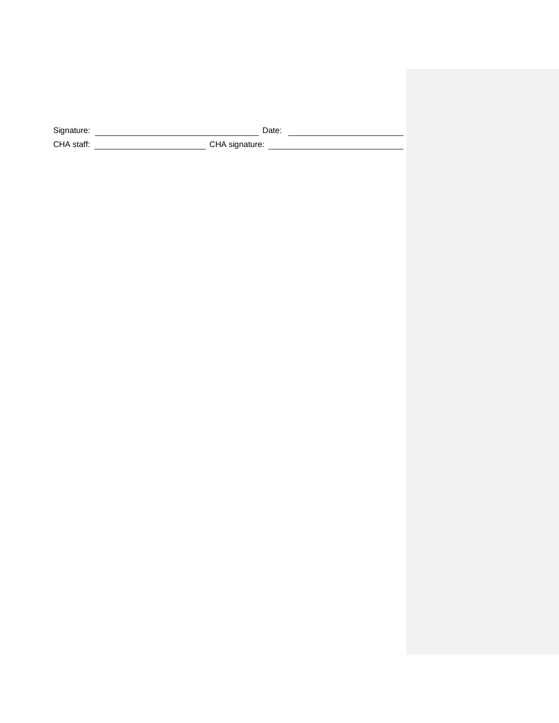Signature: **Date: Date: Date: Date: Date: Date: Date: Date: Date: Date: Date: Date: Date: Date: Date: Date: Date: Date: Date: Date: Date: Date: Date: Date: Date: Date: Da** CHA staff: CHA signature: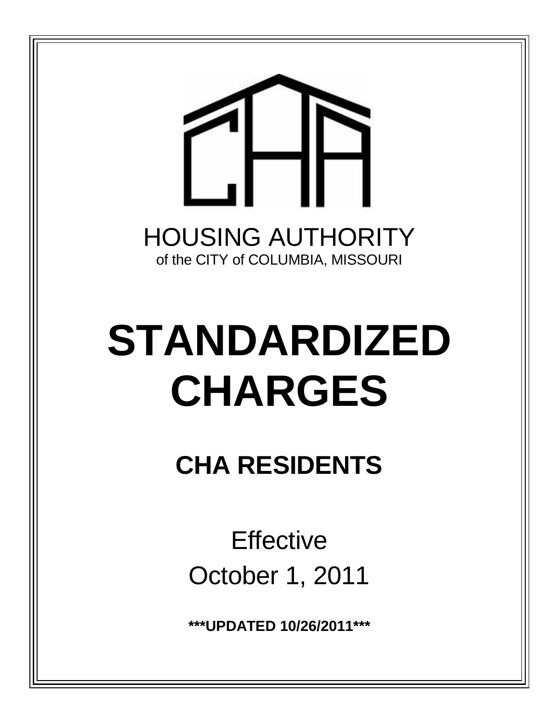

# **STANDARDIZED CHARGES**

**CHA RESIDENTS**

**Effective** October 1, 2011

**\*\*\*UPDATED 10/26/2011\*\*\***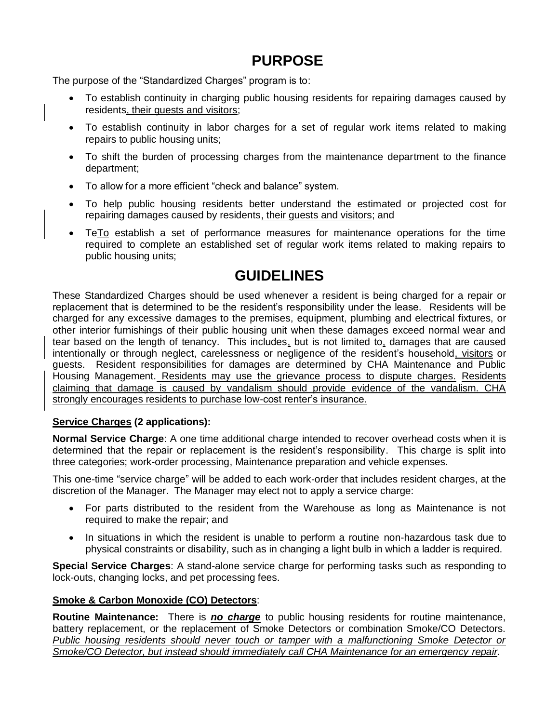# **PURPOSE**

The purpose of the "Standardized Charges" program is to:

- To establish continuity in charging public housing residents for repairing damages caused by residents, their guests and visitors;
- To establish continuity in labor charges for a set of regular work items related to making repairs to public housing units;
- To shift the burden of processing charges from the maintenance department to the finance department;
- To allow for a more efficient "check and balance" system.
- To help public housing residents better understand the estimated or projected cost for repairing damages caused by residents, their guests and visitors; and
- **TeTo establish a set of performance measures for maintenance operations for the time** required to complete an established set of regular work items related to making repairs to public housing units;

# **GUIDELINES**

These Standardized Charges should be used whenever a resident is being charged for a repair or replacement that is determined to be the resident's responsibility under the lease. Residents will be charged for any excessive damages to the premises, equipment, plumbing and electrical fixtures, or other interior furnishings of their public housing unit when these damages exceed normal wear and tear based on the length of tenancy. This includes, but is not limited to, damages that are caused intentionally or through neglect, carelessness or negligence of the resident's household, visitors or guests. Resident responsibilities for damages are determined by CHA Maintenance and Public Housing Management. Residents may use the grievance process to dispute charges. Residents claiming that damage is caused by vandalism should provide evidence of the vandalism. CHA strongly encourages residents to purchase low-cost renter's insurance.

### **Service Charges (2 applications):**

**Normal Service Charge**: A one time additional charge intended to recover overhead costs when it is determined that the repair or replacement is the resident's responsibility. This charge is split into three categories; work-order processing, Maintenance preparation and vehicle expenses.

This one-time "service charge" will be added to each work-order that includes resident charges, at the discretion of the Manager. The Manager may elect not to apply a service charge:

- For parts distributed to the resident from the Warehouse as long as Maintenance is not required to make the repair; and
- In situations in which the resident is unable to perform a routine non-hazardous task due to physical constraints or disability, such as in changing a light bulb in which a ladder is required.

**Special Service Charges**: A stand-alone service charge for performing tasks such as responding to lock-outs, changing locks, and pet processing fees.

### **Smoke & Carbon Monoxide (CO) Detectors**:

**Routine Maintenance:** There is *no charge* to public housing residents for routine maintenance, battery replacement, or the replacement of Smoke Detectors or combination Smoke/CO Detectors. *Public housing residents should never touch or tamper with a malfunctioning Smoke Detector or Smoke/CO Detector, but instead should immediately call CHA Maintenance for an emergency repair.*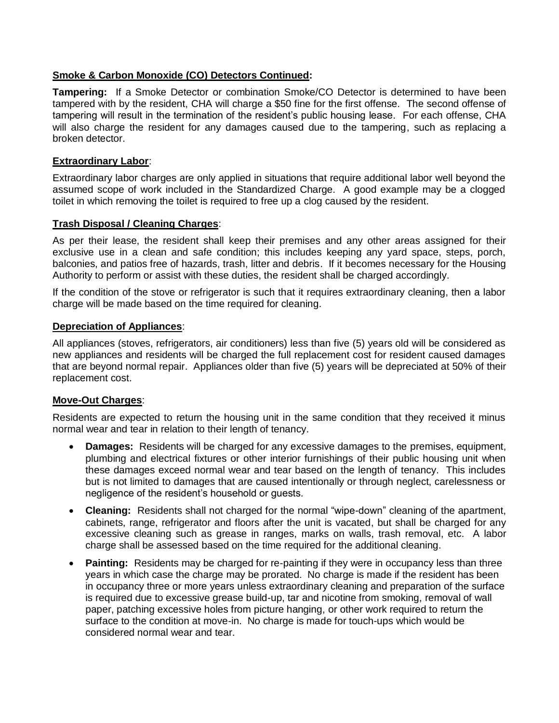### **Smoke & Carbon Monoxide (CO) Detectors Continued:**

**Tampering:** If a Smoke Detector or combination Smoke/CO Detector is determined to have been tampered with by the resident, CHA will charge a \$50 fine for the first offense. The second offense of tampering will result in the termination of the resident's public housing lease. For each offense, CHA will also charge the resident for any damages caused due to the tampering, such as replacing a broken detector.

### **Extraordinary Labor**:

Extraordinary labor charges are only applied in situations that require additional labor well beyond the assumed scope of work included in the Standardized Charge. A good example may be a clogged toilet in which removing the toilet is required to free up a clog caused by the resident.

### **Trash Disposal / Cleaning Charges**:

As per their lease, the resident shall keep their premises and any other areas assigned for their exclusive use in a clean and safe condition; this includes keeping any yard space, steps, porch, balconies, and patios free of hazards, trash, litter and debris. If it becomes necessary for the Housing Authority to perform or assist with these duties, the resident shall be charged accordingly.

If the condition of the stove or refrigerator is such that it requires extraordinary cleaning, then a labor charge will be made based on the time required for cleaning.

### **Depreciation of Appliances**:

All appliances (stoves, refrigerators, air conditioners) less than five (5) years old will be considered as new appliances and residents will be charged the full replacement cost for resident caused damages that are beyond normal repair. Appliances older than five (5) years will be depreciated at 50% of their replacement cost.

### **Move-Out Charges**:

Residents are expected to return the housing unit in the same condition that they received it minus normal wear and tear in relation to their length of tenancy.

- **Damages:** Residents will be charged for any excessive damages to the premises, equipment, plumbing and electrical fixtures or other interior furnishings of their public housing unit when these damages exceed normal wear and tear based on the length of tenancy. This includes but is not limited to damages that are caused intentionally or through neglect, carelessness or negligence of the resident's household or guests.
- **Cleaning:** Residents shall not charged for the normal "wipe-down" cleaning of the apartment, cabinets, range, refrigerator and floors after the unit is vacated, but shall be charged for any excessive cleaning such as grease in ranges, marks on walls, trash removal, etc. A labor charge shall be assessed based on the time required for the additional cleaning.
- **Painting:** Residents may be charged for re-painting if they were in occupancy less than three years in which case the charge may be prorated. No charge is made if the resident has been in occupancy three or more years unless extraordinary cleaning and preparation of the surface is required due to excessive grease build-up, tar and nicotine from smoking, removal of wall paper, patching excessive holes from picture hanging, or other work required to return the surface to the condition at move-in. No charge is made for touch-ups which would be considered normal wear and tear.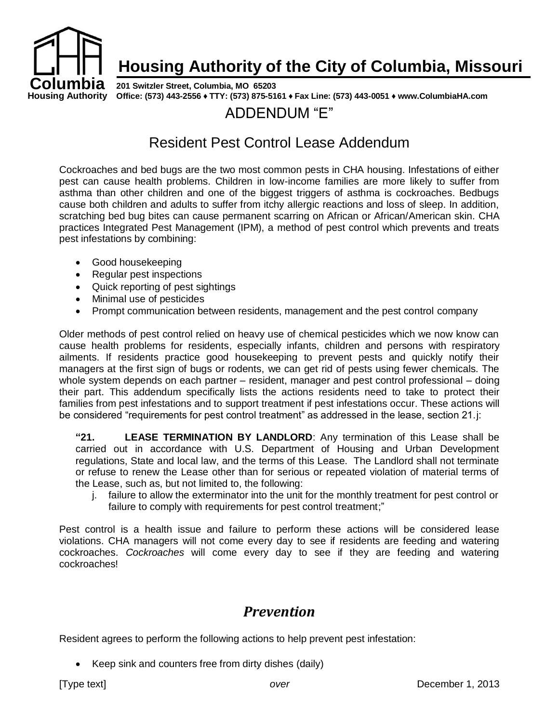

# **Housing Authority of the City of Columbia, Missouri**

**Housing Authority Office: (573) 443-2556 ♦ TTY: (573) 875-5161 ♦ Fax Line: (573) 443-0051 ♦ www.ColumbiaHA.com 201 Switzler Street, Columbia, MO 65203**

# ADDENDUM "E"

# Resident Pest Control Lease Addendum

Cockroaches and bed bugs are the two most common pests in CHA housing. Infestations of either pest can cause health problems. Children in low-income families are more likely to suffer from asthma than other children and one of the biggest triggers of asthma is cockroaches. Bedbugs cause both children and adults to suffer from itchy allergic reactions and loss of sleep. In addition, scratching bed bug bites can cause permanent scarring on African or African/American skin. CHA practices Integrated Pest Management (IPM), a method of pest control which prevents and treats pest infestations by combining:

- Good housekeeping
- Regular pest inspections
- Quick reporting of pest sightings
- Minimal use of pesticides
- Prompt communication between residents, management and the pest control company

Older methods of pest control relied on heavy use of chemical pesticides which we now know can cause health problems for residents, especially infants, children and persons with respiratory ailments. If residents practice good housekeeping to prevent pests and quickly notify their managers at the first sign of bugs or rodents, we can get rid of pests using fewer chemicals. The whole system depends on each partner – resident, manager and pest control professional – doing their part. This addendum specifically lists the actions residents need to take to protect their families from pest infestations and to support treatment if pest infestations occur. These actions will be considered "requirements for pest control treatment" as addressed in the lease, section 21.j:

**"21. LEASE TERMINATION BY LANDLORD**: Any termination of this Lease shall be carried out in accordance with U.S. Department of Housing and Urban Development regulations, State and local law, and the terms of this Lease. The Landlord shall not terminate or refuse to renew the Lease other than for serious or repeated violation of material terms of the Lease, such as, but not limited to, the following:

j. failure to allow the exterminator into the unit for the monthly treatment for pest control or failure to comply with requirements for pest control treatment;"

Pest control is a health issue and failure to perform these actions will be considered lease violations. CHA managers will not come every day to see if residents are feeding and watering cockroaches. *Cockroaches* will come every day to see if they are feeding and watering cockroaches!

# *Prevention*

Resident agrees to perform the following actions to help prevent pest infestation:

• Keep sink and counters free from dirty dishes (daily)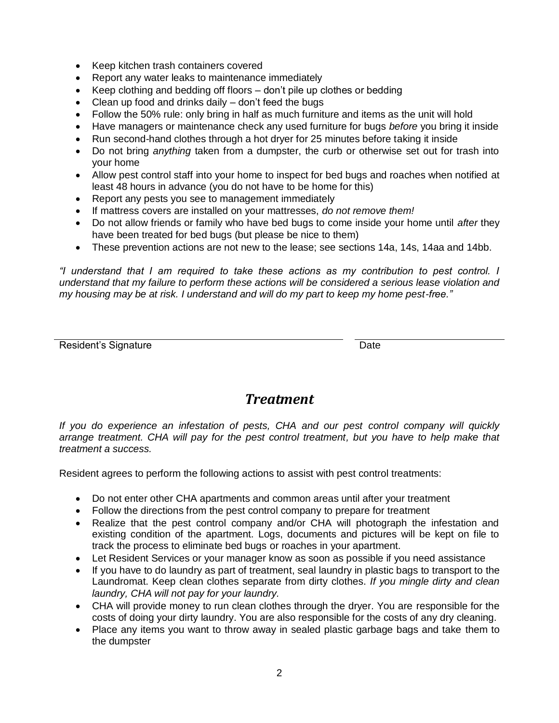- Keep kitchen trash containers covered
- Report any water leaks to maintenance immediately
- Keep clothing and bedding off floors don't pile up clothes or bedding
- Clean up food and drinks daily don't feed the bugs
- Follow the 50% rule: only bring in half as much furniture and items as the unit will hold
- Have managers or maintenance check any used furniture for bugs *before* you bring it inside
- Run second-hand clothes through a hot dryer for 25 minutes before taking it inside
- Do not bring *anything* taken from a dumpster, the curb or otherwise set out for trash into your home
- Allow pest control staff into your home to inspect for bed bugs and roaches when notified at least 48 hours in advance (you do not have to be home for this)
- Report any pests you see to management immediately
- If mattress covers are installed on your mattresses, *do not remove them!*
- Do not allow friends or family who have bed bugs to come inside your home until *after* they have been treated for bed bugs (but please be nice to them)
- These prevention actions are not new to the lease; see sections 14a, 14s, 14aa and 14bb.

*"I understand that I am required to take these actions as my contribution to pest control. I understand that my failure to perform these actions will be considered a serious lease violation and my housing may be at risk. I understand and will do my part to keep my home pest-free."*

Resident's Signature **Date** Date **Date** 

### *Treatment*

*If you do experience an infestation of pests, CHA and our pest control company will quickly arrange treatment. CHA will pay for the pest control treatment, but you have to help make that treatment a success.*

Resident agrees to perform the following actions to assist with pest control treatments:

- Do not enter other CHA apartments and common areas until after your treatment
- Follow the directions from the pest control company to prepare for treatment
- Realize that the pest control company and/or CHA will photograph the infestation and existing condition of the apartment. Logs, documents and pictures will be kept on file to track the process to eliminate bed bugs or roaches in your apartment.
- Let Resident Services or your manager know as soon as possible if you need assistance
- If you have to do laundry as part of treatment, seal laundry in plastic bags to transport to the Laundromat. Keep clean clothes separate from dirty clothes. *If you mingle dirty and clean laundry, CHA will not pay for your laundry.*
- CHA will provide money to run clean clothes through the dryer. You are responsible for the costs of doing your dirty laundry. You are also responsible for the costs of any dry cleaning.
- Place any items you want to throw away in sealed plastic garbage bags and take them to the dumpster